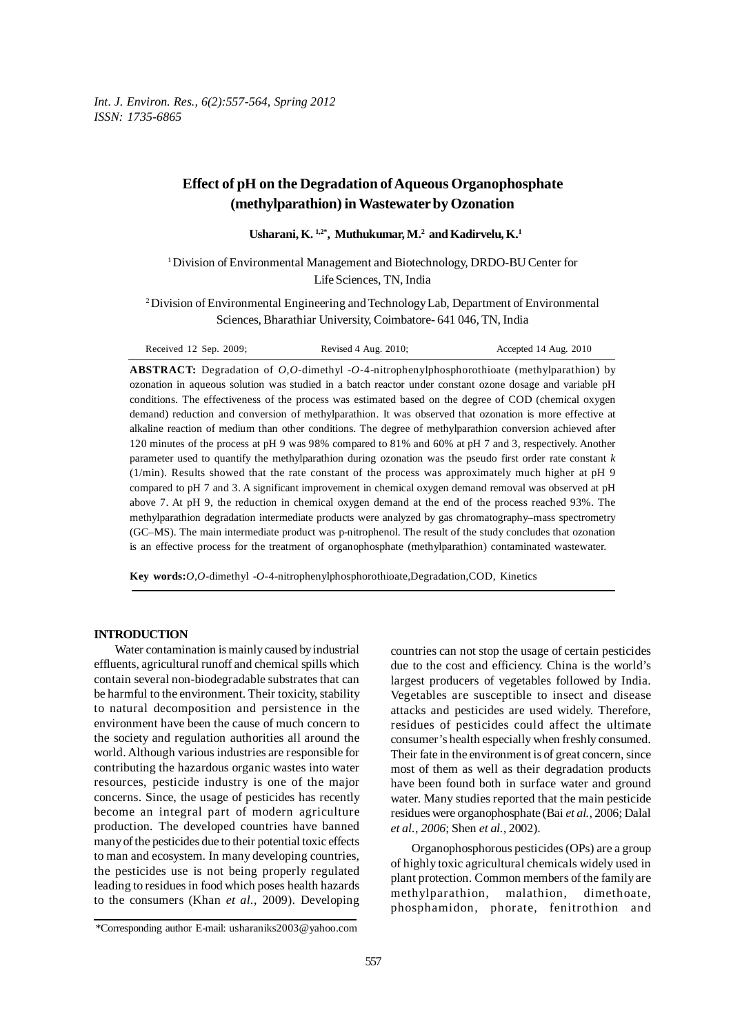*Int. J. Environ. Res., 6(2):557-564, Spring 2012 ISSN: 1735-6865*

# **Effect of pH on the Degradation of Aqueous Organophosphate (methylparathion) in Wastewater by Ozonation**

**Usharani, K. 1,2\*, Muthukumar, M.2 and Kadirvelu, K.1**

1 Division of Environmental Management and Biotechnology, DRDO-BU Center for Life Sciences, TN, India

2 Division of Environmental Engineering and Technology Lab, Department of Environmental Sciences, Bharathiar University, Coimbatore- 641 046, TN, India

| Received $12$ Sep. $2009$ ; | Revised 4 Aug. $2010$ ; | Accepted 14 Aug. 2010 |
|-----------------------------|-------------------------|-----------------------|
|-----------------------------|-------------------------|-----------------------|

**ABSTRACT:** Degradation of *O,O-*dimethyl -*O-*4-nitrophenylphosphorothioate (methylparathion) by ozonation in aqueous solution was studied in a batch reactor under constant ozone dosage and variable pH conditions. The effectiveness of the process was estimated based on the degree of COD (chemical oxygen demand) reduction and conversion of methylparathion. It was observed that ozonation is more effective at alkaline reaction of medium than other conditions. The degree of methylparathion conversion achieved after 120 minutes of the process at pH 9 was 98% compared to 81% and 60% at pH 7 and 3, respectively. Another parameter used to quantify the methylparathion during ozonation was the pseudo first order rate constant *k* (1/min). Results showed that the rate constant of the process was approximately much higher at pH 9 compared to pH 7 and 3. A significant improvement in chemical oxygen demand removal was observed at pH above 7. At pH 9, the reduction in chemical oxygen demand at the end of the process reached 93%. The methylparathion degradation intermediate products were analyzed by gas chromatography–mass spectrometry (GC–MS). The main intermediate product was p-nitrophenol. The result of the study concludes that ozonation is an effective process for the treatment of organophosphate (methylparathion) contaminated wastewater.

**Key words:***O,O-*dimethyl -*O-*4-nitrophenylphosphorothioate,Degradation,COD, Kinetics

### **INTRODUCTION**

Water contamination is mainly caused by industrial effluents, agricultural runoff and chemical spills which contain several non-biodegradable substrates that can be harmful to the environment. Their toxicity, stability to natural decomposition and persistence in the environment have been the cause of much concern to the society and regulation authorities all around the world. Although various industries are responsible for contributing the hazardous organic wastes into water resources, pesticide industry is one of the major concerns. Since, the usage of pesticides has recently become an integral part of modern agriculture production. The developed countries have banned many of the pesticides due to their potential toxic effects to man and ecosystem. In many developing countries, the pesticides use is not being properly regulated leading to residues in food which poses health hazards to the consumers (Khan *et al*., 2009). Developing

Organophosphorous pesticides (OPs) are a group of highly toxic agricultural chemicals widely used in plant protection. Common members of the family are methylparathion, malathion, dimethoate, phosphamidon, phorate, fenitrothion and

countries can not stop the usage of certain pesticides due to the cost and efficiency. China is the world's largest producers of vegetables followed by India. Vegetables are susceptible to insect and disease attacks and pesticides are used widely. Therefore, residues of pesticides could affect the ultimate consumer's health especially when freshly consumed. Their fate in the environment is of great concern, since most of them as well as their degradation products have been found both in surface water and ground water. Many studies reported that the main pesticide residues were organophosphate (Bai *et al.,* 2006; Dalal *et al., 2006*; Shen *et al.,* 2002).

<sup>\*</sup>Corresponding author E-mail: usharaniks2003@yahoo.com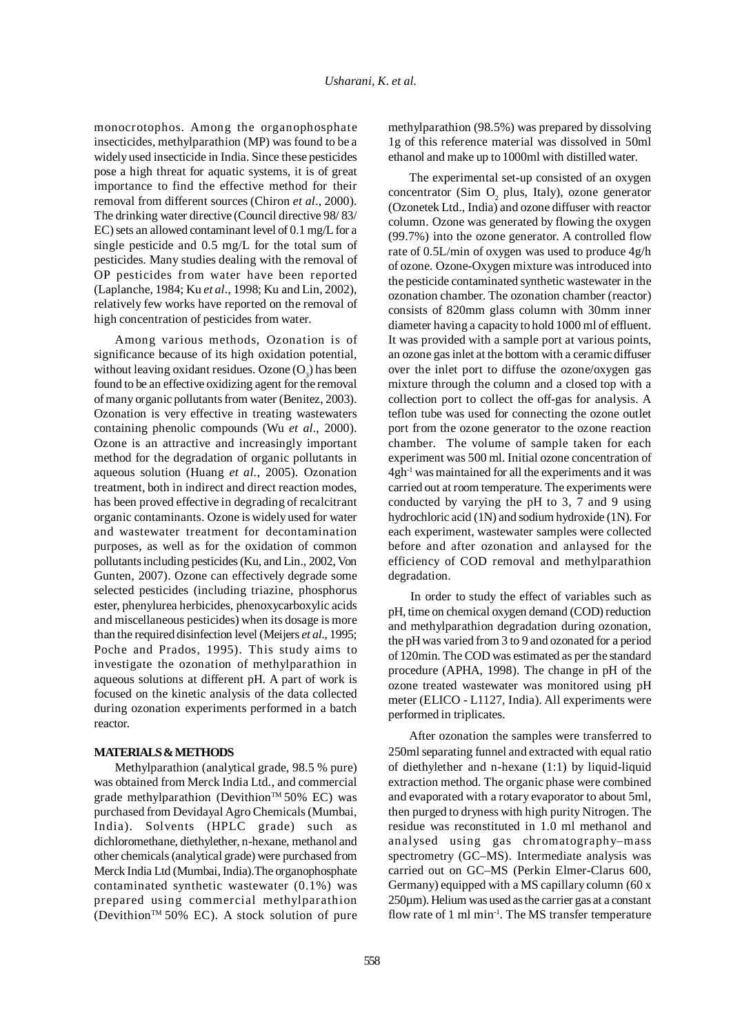monocrotophos. Among the organophosphate insecticides, methylparathion (MP) was found to be a widely used insecticide in India. Since these pesticides pose a high threat for aquatic systems, it is of great importance to find the effective method for their removal from different sources (Chiron *et al*., 2000). The drinking water directive (Council directive 98/ 83/ EC) sets an allowed contaminant level of 0.1 mg/L for a single pesticide and 0.5 mg/L for the total sum of pesticides. Many studies dealing with the removal of OP pesticides from water have been reported (Laplanche, 1984; Ku *et al*., 1998; Ku and Lin, 2002), relatively few works have reported on the removal of high concentration of pesticides from water.

Among various methods, Ozonation is of significance because of its high oxidation potential, without leaving oxidant residues. Ozone  $(O_3)$  has been found to be an effective oxidizing agent for the removal of many organic pollutants from water (Benitez, 2003). Ozonation is very effective in treating wastewaters containing phenolic compounds (Wu *et al*., 2000). Ozone is an attractive and increasingly important method for the degradation of organic pollutants in aqueous solution (Huang *et al*., 2005). Ozonation treatment, both in indirect and direct reaction modes, has been proved effective in degrading of recalcitrant organic contaminants. Ozone is widely used for water and wastewater treatment for decontamination purposes, as well as for the oxidation of common pollutants including pesticides (Ku, and Lin., 2002, Von Gunten, 2007). Ozone can effectively degrade some selected pesticides (including triazine, phosphorus ester, phenylurea herbicides, phenoxycarboxylic acids and miscellaneous pesticides) when its dosage is more than the required disinfection level (Meijers *et al*., 1995; Poche and Prados, 1995). This study aims to investigate the ozonation of methylparathion in aqueous solutions at different pH. A part of work is focused on the kinetic analysis of the data collected during ozonation experiments performed in a batch reactor.

## **MATERIALS & METHODS**

Methylparathion (analytical grade, 98.5 % pure) was obtained from Merck India Ltd., and commercial grade methylparathion (Devithion™ 50% EC) was purchased from Devidayal Agro Chemicals (Mumbai, India). Solvents (HPLC grade) such as dichloromethane, diethylether, n-hexane, methanol and other chemicals (analytical grade) were purchased from Merck India Ltd (Mumbai, India).The organophosphate contaminated synthetic wastewater (0.1%) was prepared using commercial methylparathion (Devithion<sup>TM</sup> 50% EC). A stock solution of pure methylparathion (98.5%) was prepared by dissolving 1g of this reference material was dissolved in 50ml ethanol and make up to 1000ml with distilled water.

The experimental set-up consisted of an oxygen concentrator (Sim  $O_2$  plus, Italy), ozone generator (Ozonetek Ltd., India) and ozone diffuser with reactor column. Ozone was generated by flowing the oxygen (99.7%) into the ozone generator. A controlled flow rate of 0.5L/min of oxygen was used to produce 4g/h of ozone. Ozone-Oxygen mixture was introduced into the pesticide contaminated synthetic wastewater in the ozonation chamber. The ozonation chamber (reactor) consists of 820mm glass column with 30mm inner diameter having a capacity to hold 1000 ml of effluent. It was provided with a sample port at various points, an ozone gas inlet at the bottom with a ceramic diffuser over the inlet port to diffuse the ozone/oxygen gas mixture through the column and a closed top with a collection port to collect the off-gas for analysis. A teflon tube was used for connecting the ozone outlet port from the ozone generator to the ozone reaction chamber. The volume of sample taken for each experiment was 500 ml. Initial ozone concentration of  $4gh<sup>-1</sup>$  was maintained for all the experiments and it was carried out at room temperature. The experiments were conducted by varying the pH to 3, 7 and 9 using hydrochloric acid (1N) and sodium hydroxide (1N). For each experiment, wastewater samples were collected before and after ozonation and anlaysed for the efficiency of COD removal and methylparathion degradation.

In order to study the effect of variables such as pH, time on chemical oxygen demand (COD) reduction and methylparathion degradation during ozonation, the pH was varied from 3 to 9 and ozonated for a period of 120min. The COD was estimated as per the standard procedure (APHA, 1998). The change in pH of the ozone treated wastewater was monitored using pH meter (ELICO - L1127, India). All experiments were performed in triplicates.

After ozonation the samples were transferred to 250ml separating funnel and extracted with equal ratio of diethylether and n-hexane (1:1) by liquid-liquid extraction method. The organic phase were combined and evaporated with a rotary evaporator to about 5ml, then purged to dryness with high purity Nitrogen. The residue was reconstituted in 1.0 ml methanol and analysed using gas chromatography–mass spectrometry (GC–MS). Intermediate analysis was carried out on GC–MS (Perkin Elmer-Clarus 600, Germany) equipped with a MS capillary column (60 x 250µm). Helium was used as the carrier gas at a constant flow rate of 1 ml min-1. The MS transfer temperature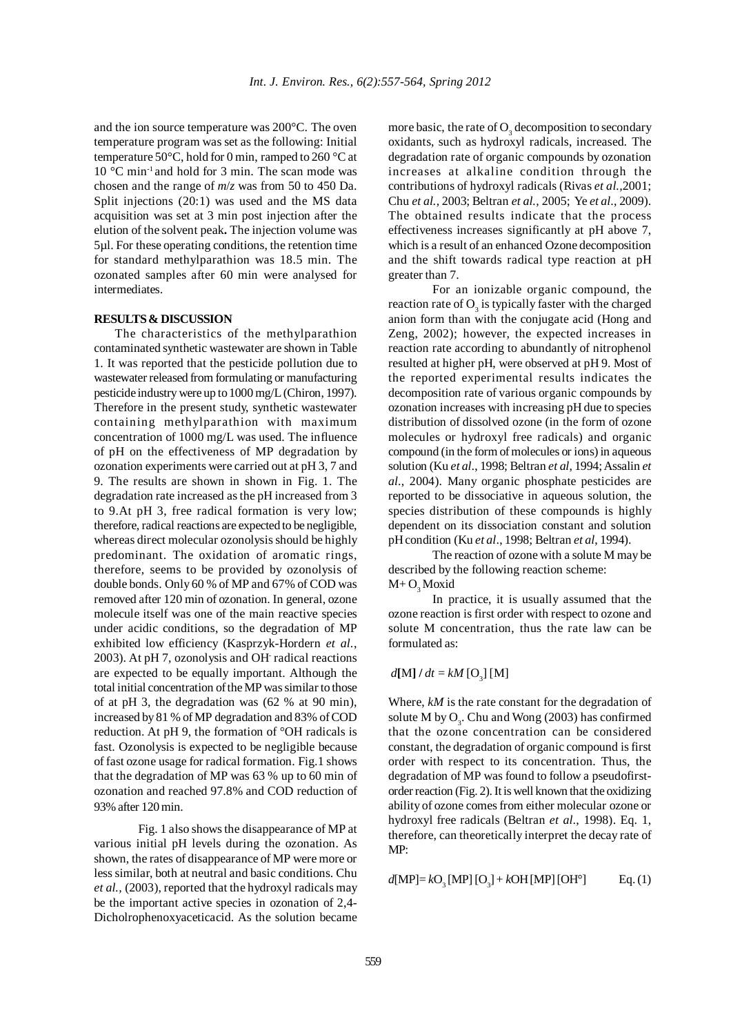and the ion source temperature was 200°C. The oven temperature program was set as the following: Initial temperature 50°C, hold for 0 min, ramped to 260 °C at 10 °C min-1 and hold for 3 min. The scan mode was chosen and the range of *m*/*z* was from 50 to 450 Da. Split injections (20:1) was used and the MS data acquisition was set at 3 min post injection after the elution of the solvent peak**.** The injection volume was 5µl. For these operating conditions, the retention time for standard methylparathion was 18.5 min. The ozonated samples after 60 min were analysed for intermediates.

## **RESULTS & DISCUSSION**

The characteristics of the methylparathion contaminated synthetic wastewater are shown in Table 1. It was reported that the pesticide pollution due to wastewater released from formulating or manufacturing pesticide industry were up to 1000 mg/L (Chiron, 1997). Therefore in the present study, synthetic wastewater containing methylparathion with maximum concentration of 1000 mg/L was used. The influence of pH on the effectiveness of MP degradation by ozonation experiments were carried out at pH 3, 7 and 9. The results are shown in shown in Fig. 1. The degradation rate increased as the pH increased from 3 to 9.At pH 3, free radical formation is very low; therefore, radical reactions are expected to be negligible, whereas direct molecular ozonolysis should be highly predominant. The oxidation of aromatic rings, therefore, seems to be provided by ozonolysis of double bonds. Only 60 % of MP and 67% of COD was removed after 120 min of ozonation. In general, ozone molecule itself was one of the main reactive species under acidic conditions, so the degradation of MP exhibited low efficiency (Kasprzyk-Hordern *et al*., 2003). At pH 7, ozonolysis and OH- radical reactions are expected to be equally important. Although the total initial concentration of the MP was similar to those of at pH 3, the degradation was (62 % at 90 min), increased by 81 % of MP degradation and 83% of COD reduction. At pH 9, the formation of °OH radicals is fast. Ozonolysis is expected to be negligible because of fast ozone usage for radical formation. Fig.1 shows that the degradation of MP was 63 % up to 60 min of ozonation and reached 97.8% and COD reduction of 93% after 120 min.

Fig. 1 also shows the disappearance of MP at various initial pH levels during the ozonation. As shown, the rates of disappearance of MP were more or less similar, both at neutral and basic conditions. Chu *et al.,* (2003), reported that the hydroxyl radicals may be the important active species in ozonation of 2,4- Dicholrophenoxyaceticacid. As the solution became

more basic, the rate of  $O_3$  decomposition to secondary oxidants, such as hydroxyl radicals, increased. The degradation rate of organic compounds by ozonation increases at alkaline condition through the contributions of hydroxyl radicals (Rivas *et al.,*2001; Chu *et al.,* 2003; Beltran *et al.,* 2005; Ye *et al*., 2009). The obtained results indicate that the process effectiveness increases significantly at pH above 7, which is a result of an enhanced Ozone decomposition and the shift towards radical type reaction at pH greater than 7.

For an ionizable organic compound, the reaction rate of  $O_3$  is typically faster with the charged anion form than with the conjugate acid (Hong and Zeng, 2002); however, the expected increases in reaction rate according to abundantly of nitrophenol resulted at higher pH, were observed at pH 9. Most of the reported experimental results indicates the decomposition rate of various organic compounds by ozonation increases with increasing pH due to species distribution of dissolved ozone (in the form of ozone molecules or hydroxyl free radicals) and organic compound (in the form of molecules or ions) in aqueous solution (Ku *et al*., 1998; Beltran *et al*, 1994; Assalin *et al*., 2004). Many organic phosphate pesticides are reported to be dissociative in aqueous solution, the species distribution of these compounds is highly dependent on its dissociation constant and solution pH condition (Ku *et al*., 1998; Beltran *et al*, 1994).

The reaction of ozone with a solute M may be described by the following reaction scheme:  $M + O_3$ Moxid

In practice, it is usually assumed that the ozone reaction is first order with respect to ozone and solute M concentration, thus the rate law can be formulated as:

## $d[M]$  /  $dt = kM$  [O<sub>3</sub>] [M]

Where, *kM* is the rate constant for the degradation of solute M by  $O_3$ . Chu and Wong (2003) has confirmed that the ozone concentration can be considered constant, the degradation of organic compound is first order with respect to its concentration. Thus, the degradation of MP was found to follow a pseudofirstorder reaction (Fig. 2). It is well known that the oxidizing ability of ozone comes from either molecular ozone or hydroxyl free radicals (Beltran *et al*., 1998). Eq. 1, therefore, can theoretically interpret the decay rate of MP:

$$
d[MP] = kO3 [MP] [O3] + kOH [MP] [OHo] \tEq. (1)
$$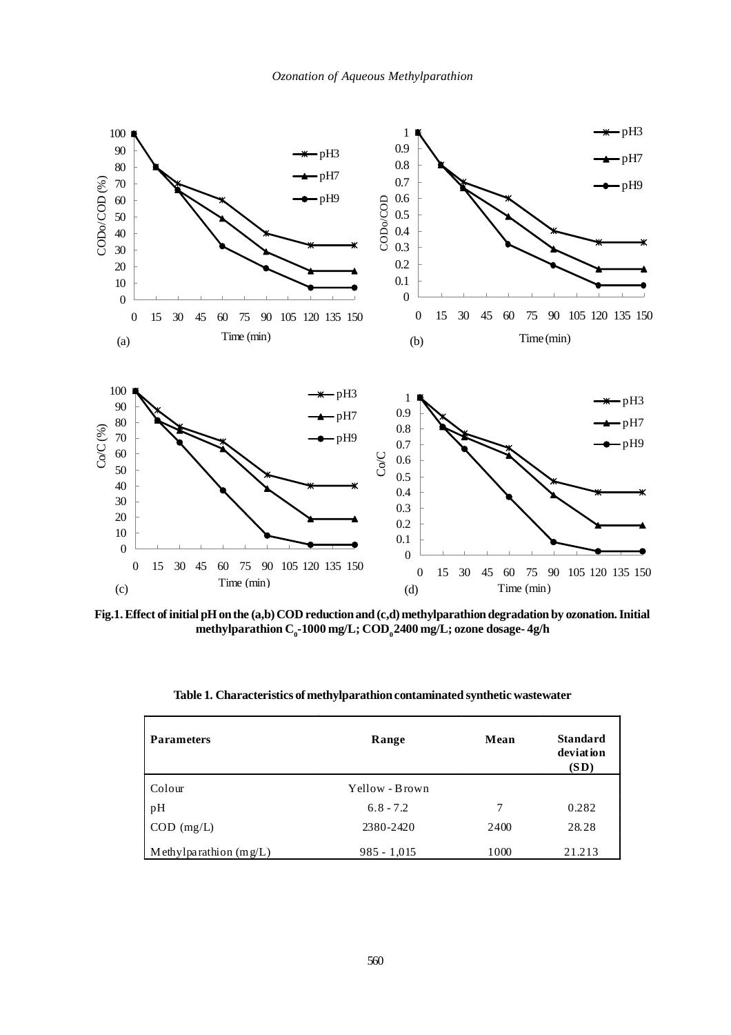

**Fig.1. Effect of initial pH on the (a,b) COD reduction and (c,d) methylparathion degradation by ozonation. Initial methylparathion C0 -1000 mg/L; COD0 2400 mg/L; ozone dosage- 4g/h**

| <b>Parameters</b>        | Range          | Mean | <b>Standard</b><br>deviation<br>(SD) |  |
|--------------------------|----------------|------|--------------------------------------|--|
| Colour                   | Yellow - Brown |      |                                      |  |
| pH                       | $6.8 - 7.2$    | 7    | 0.282                                |  |
| $COD$ (mg/L)             | 2380-2420      | 2400 | 28.28                                |  |
| Methylparathion $(mg/L)$ | $985 - 1,015$  | 1000 | 21.213                               |  |

**Table 1. Characteristics of methylparathion contaminated synthetic wastewater**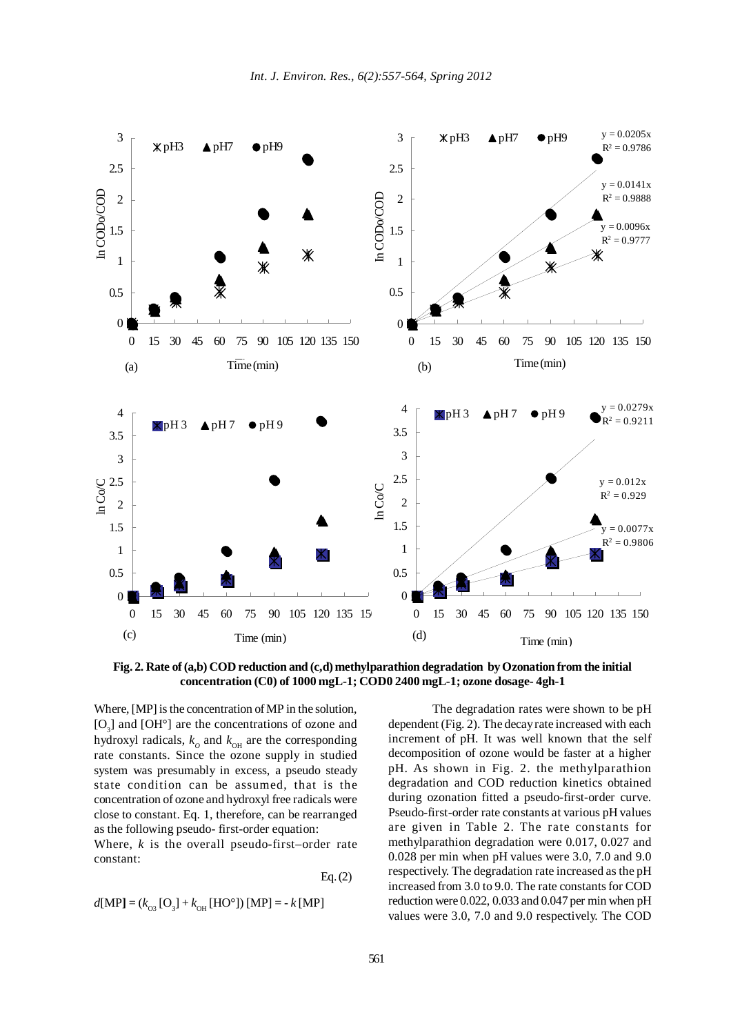

**Fig. 2. Rate of (a,b) COD reduction and (c,d) methylparathion degradation by Ozonation from the initial concentration (C0) of 1000 mgL-1; COD0 2400 mgL-1; ozone dosage- 4gh-1**

Where, [MP] is the concentration of MP in the solution,  $[O_3]$  and  $[OH^{\circ}]$  are the concentrations of ozone and hydroxyl radicals,  $k_o$  and  $k_{OH}$  are the corresponding rate constants. Since the ozone supply in studied system was presumably in excess, a pseudo steady state condition can be assumed, that is the concentration of ozone and hydroxyl free radicals were close to constant. Eq. 1, therefore, can be rearranged as the following pseudo- first-order equation:

Where, *k* is the overall pseudo-first–order rate constant:

Eq. (2)

$$
d[MP] = (k_{03} [O_3] + k_{OH} [HO^{\circ}]) [MP] = -k [MP]
$$

The degradation rates were shown to be pH dependent (Fig. 2). The decay rate increased with each increment of pH. It was well known that the self decomposition of ozone would be faster at a higher pH. As shown in Fig. 2. the methylparathion degradation and COD reduction kinetics obtained during ozonation fitted a pseudo-first-order curve. Pseudo-first-order rate constants at various pH values are given in Table 2. The rate constants for methylparathion degradation were 0.017, 0.027 and 0.028 per min when pH values were 3.0, 7.0 and 9.0 respectively. The degradation rate increased as the pH increased from 3.0 to 9.0. The rate constants for COD reduction were 0.022, 0.033 and 0.047 per min when pH values were 3.0, 7.0 and 9.0 respectively. The COD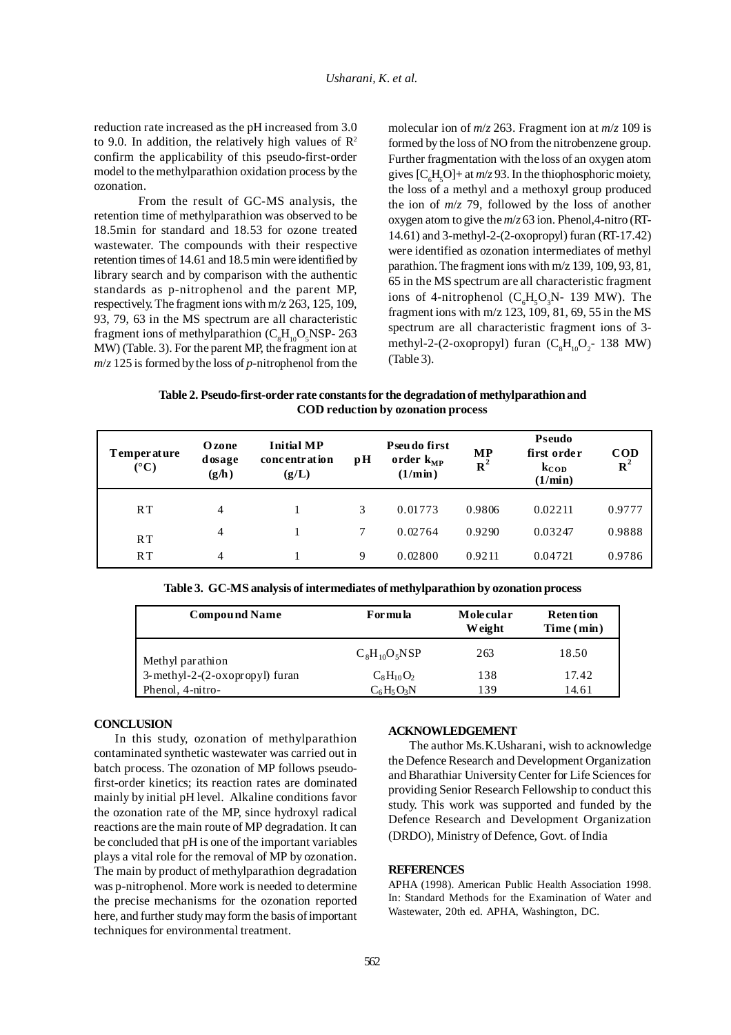reduction rate increased as the pH increased from 3.0 to 9.0. In addition, the relatively high values of  $\mathbb{R}^2$ confirm the applicability of this pseudo-first-order model to the methylparathion oxidation process by the ozonation.

From the result of GC-MS analysis, the retention time of methylparathion was observed to be 18.5min for standard and 18.53 for ozone treated wastewater. The compounds with their respective retention times of 14.61 and 18.5 min were identified by library search and by comparison with the authentic standards as p-nitrophenol and the parent MP, respectively. The fragment ions with m/z 263, 125, 109, 93, 79, 63 in the MS spectrum are all characteristic fragment ions of methylparathion  $(C_8H_{10}O_5NSP - 263$ MW) (Table. 3). For the parent MP, the fragment ion at *m*/*z* 125 is formed by the loss of *p*-nitrophenol from the

molecular ion of *m*/*z* 263. Fragment ion at *m*/*z* 109 is formed by the loss of NO from the nitrobenzene group. Further fragmentation with the loss of an oxygen atom gives  $[C_6H_5O]+$  at  $m/z$  93. In the thiophosphoric moiety, the loss of a methyl and a methoxyl group produced the ion of *m*/*z* 79, followed by the loss of another oxygen atom to give the *m*/*z* 63 ion. Phenol,4-nitro (RT-14.61) and 3-methyl-2-(2-oxopropyl) furan (RT-17.42) were identified as ozonation intermediates of methyl parathion. The fragment ions with m/z 139, 109, 93, 81, 65 in the MS spectrum are all characteristic fragment ions of 4-nitrophenol ( $C_6H_5O_3N$ - 139 MW). The fragment ions with m/z 123, 109, 81, 69, 55 in the MS spectrum are all characteristic fragment ions of 3 methyl-2-(2-oxopropyl) furan  $(C_8H_{10}O_2$ - 138 MW) (Table 3).

**Table 2. Pseudo-first-order rate constants for the degradation of methylparathion and COD reduction by ozonation process**

| <b>T</b> emperature<br>$({}^{\circ}{\rm C})$ | <b>O</b> zone<br>dosage<br>(g/h) | <b>Initial MP</b><br>concentration<br>(g/L) | $\mathbf{p}$ H | Pseudo first<br>order $k_{MP}$<br>$(1/\text{min})$ | MP<br>${\bf R}^2$ | Pseudo<br>first order<br>$k_{\rm COD}$<br>$(1/\min)$ | <b>COD</b><br>$R^2$ |
|----------------------------------------------|----------------------------------|---------------------------------------------|----------------|----------------------------------------------------|-------------------|------------------------------------------------------|---------------------|
| RT                                           | 4                                |                                             | 3              | 0.01773                                            | 0.9806            | 0.02211                                              | 0.9777              |
| RT                                           | 4                                |                                             | 7              | 0.02764                                            | 0.9290            | 0.03247                                              | 0.9888              |
| RT                                           | 4                                |                                             | 9              | 0.02800                                            | 0.9211            | 0.04721                                              | 0.9786              |

**Table 3. GC-MS analysis of intermediates of methylparathion by ozonation process**

| <b>Compound Name</b>           | For mu la         | Molecular<br><b>Weight</b> | <b>Retention</b><br>Time (min) |  |
|--------------------------------|-------------------|----------------------------|--------------------------------|--|
| Methyl parathion               | $C_8H_{10}O_5NSP$ | 263                        | 18.50                          |  |
| 3-methyl-2-(2-oxopropyl) furan | $C_8H_{10}O_2$    | 138                        | 17.42                          |  |
| Phenol, 4-nitro-               | $C_6H_5O_3N$      | 139                        | 14.61                          |  |

#### **CONCLUSION**

In this study, ozonation of methylparathion contaminated synthetic wastewater was carried out in batch process. The ozonation of MP follows pseudofirst-order kinetics; its reaction rates are dominated mainly by initial pH level. Alkaline conditions favor the ozonation rate of the MP, since hydroxyl radical reactions are the main route of MP degradation. It can be concluded that pH is one of the important variables plays a vital role for the removal of MP by ozonation. The main by product of methylparathion degradation was p-nitrophenol. More work is needed to determine the precise mechanisms for the ozonation reported here, and further study may form the basis of important techniques for environmental treatment.

## **ACKNOWLEDGEMENT**

The author Ms.K.Usharani, wish to acknowledge the Defence Research and Development Organization and Bharathiar University Center for Life Sciences for providing Senior Research Fellowship to conduct this study. This work was supported and funded by the Defence Research and Development Organization (DRDO), Ministry of Defence, Govt. of India

### **REFERENCES**

APHA (1998). American Public Health Association 1998. In: Standard Methods for the Examination of Water and Wastewater, 20th ed. APHA, Washington, DC.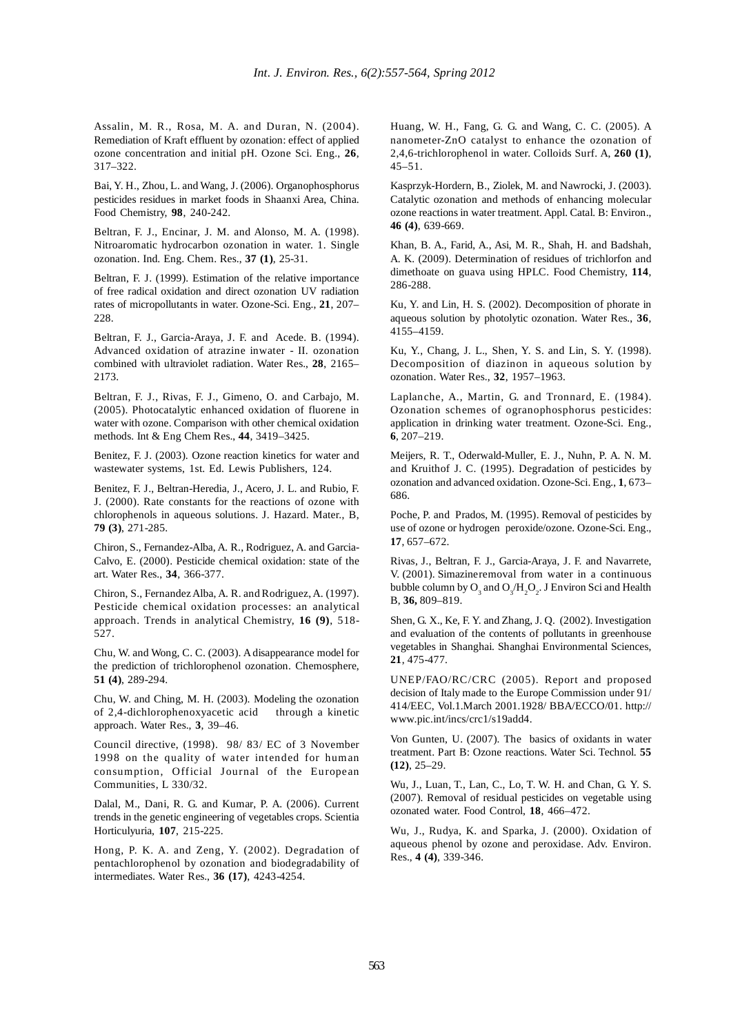Assalin, M. R., Rosa, M. A. and Duran, N. (2004). Remediation of Kraft effluent by ozonation: effect of applied ozone concentration and initial pH. Ozone Sci. Eng., **26**, 317–322.

Bai, Y. H., Zhou, L. and Wang, J. (2006). Organophosphorus pesticides residues in market foods in Shaanxi Area, China. Food Chemistry, **98**, 240-242.

Beltran, F. J., Encinar, J. M. and Alonso, M. A. (1998). Nitroaromatic hydrocarbon ozonation in water. 1. Single ozonation. Ind. Eng. Chem. Res., **37 (1)**, 25-31.

Beltran, F. J. (1999). Estimation of the relative importance of free radical oxidation and direct ozonation UV radiation rates of micropollutants in water. Ozone-Sci. Eng., **21**, 207– 228.

Beltran, F. J., Garcia-Araya, J. F. and Acede. B. (1994). Advanced oxidation of atrazine inwater - II. ozonation combined with ultraviolet radiation. Water Res., **28**, 2165– 2173.

Beltran, F. J., Rivas, F. J., Gimeno, O. and Carbajo, M. (2005). Photocatalytic enhanced oxidation of fluorene in water with ozone. Comparison with other chemical oxidation methods. Int & Eng Chem Res., **44**, 3419–3425.

Benitez, F. J. (2003). Ozone reaction kinetics for water and wastewater systems, 1st. Ed. Lewis Publishers, 124.

Benitez, F. J., Beltran-Heredia, J., Acero, J. L. and Rubio, F. J. (2000). Rate constants for the reactions of ozone with chlorophenols in aqueous solutions. J. Hazard. Mater., B, **79 (3)**, 271-285.

Chiron, S., Fernandez-Alba, A. R., Rodriguez, A. and Garcia-Calvo, E. (2000). Pesticide chemical oxidation: state of the art. Water Res., **34**, 366-377.

Chiron, S., Fernandez Alba, A. R. and Rodriguez, A. (1997). Pesticide chemical oxidation processes: an analytical approach. Trends in analytical Chemistry, **16 (9)**, 518- 527.

Chu, W. and Wong, C. C. (2003). A disappearance model for the prediction of trichlorophenol ozonation. Chemosphere, **51 (4)**, 289-294.

Chu, W. and Ching, M. H. (2003). Modeling the ozonation of 2,4-dichlorophenoxyacetic acid through a kinetic approach. Water Res., **3**, 39–46.

Council directive, (1998). 98/ 83/ EC of 3 November 1998 on the quality of water intended for human consumption, Official Journal of the European Communities, L 330/32.

Dalal, M., Dani, R. G. and Kumar, P. A. (2006). Current trends in the genetic engineering of vegetables crops. Scientia Horticulyuria, **107**, 215-225.

Hong, P. K. A. and Zeng, Y. (2002). Degradation of pentachlorophenol by ozonation and biodegradability of intermediates. Water Res., **36 (17)**, 4243-4254.

Huang, W. H., Fang, G. G. and Wang, C. C. (2005). A nanometer-ZnO catalyst to enhance the ozonation of 2,4,6-trichlorophenol in water. Colloids Surf. A, **260 (1)**, 45–51.

Kasprzyk-Hordern, B., Ziolek, M. and Nawrocki, J. (2003). Catalytic ozonation and methods of enhancing molecular ozone reactions in water treatment. Appl. Catal. B: Environ., **46 (4)**, 639-669.

Khan, B. A., Farid, A., Asi, M. R., Shah, H. and Badshah, A. K. (2009). Determination of residues of trichlorfon and dimethoate on guava using HPLC. Food Chemistry, **114**, 286-288.

Ku, Y. and Lin, H. S. (2002). Decomposition of phorate in aqueous solution by photolytic ozonation. Water Res., **36**, 4155–4159.

Ku, Y., Chang, J. L., Shen, Y. S. and Lin, S. Y. (1998). Decomposition of diazinon in aqueous solution by ozonation. Water Res., **32**, 1957–1963.

Laplanche, A., Martin, G. and Tronnard, E. (1984). Ozonation schemes of ogranophosphorus pesticides: application in drinking water treatment. Ozone-Sci. Eng., **6**, 207–219.

Meijers, R. T., Oderwald-Muller, E. J., Nuhn, P. A. N. M. and Kruithof J. C. (1995). Degradation of pesticides by ozonation and advanced oxidation. Ozone-Sci. Eng., **1**, 673– 686.

Poche, P. and Prados, M. (1995). Removal of pesticides by use of ozone or hydrogen peroxide/ozone. Ozone-Sci. Eng., **17**, 657–672.

Rivas, J., Beltran, F. J., Garcia-Araya, J. F. and Navarrete, V. (2001). Simazineremoval from water in a continuous bubble column by  $O_3$  and  $O_3/H_2O_2$ . J Environ Sci and Health B, **36,** 809–819.

Shen, G. X., Ke, F. Y. and Zhang, J. Q. (2002). Investigation and evaluation of the contents of pollutants in greenhouse vegetables in Shanghai. Shanghai Environmental Sciences, **21**, 475-477.

UNEP/FAO/RC/CRC (2005). Report and proposed decision of Italy made to the Europe Commission under 91/ 414/EEC, Vol.1.March 2001.1928/ BBA/ECCO/01. http:// www.pic.int/incs/crc1/s19add4.

Von Gunten, U. (2007). The basics of oxidants in water treatment. Part B: Ozone reactions. Water Sci. Technol. **55 (12)**, 25–29.

Wu, J., Luan, T., Lan, C., Lo, T. W. H. and Chan, G. Y. S. (2007). Removal of residual pesticides on vegetable using ozonated water. Food Control, **18**, 466–472.

Wu, J., Rudya, K. and Sparka, J. (2000). Oxidation of aqueous phenol by ozone and peroxidase. Adv. Environ. Res., **4 (4)**, 339-346.